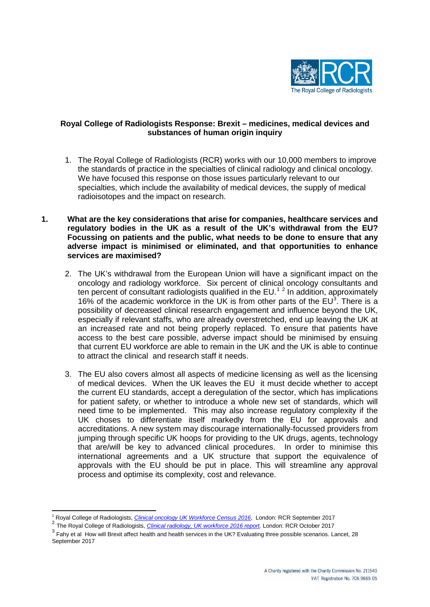

## **Royal College of Radiologists Response: Brexit – medicines, medical devices and substances of human origin inquiry**

- 1. The Royal College of Radiologists (RCR) works with our 10,000 members to improve the standards of practice in the specialties of clinical radiology and clinical oncology. We have focused this response on those issues particularly relevant to our specialties, which include the availability of medical devices, the supply of medical radioisotopes and the impact on research.
- **1. What are the key considerations that arise for companies, healthcare services and regulatory bodies in the UK as a result of the UK's withdrawal from the EU? Focussing on patients and the public, what needs to be done to ensure that any adverse impact is minimised or eliminated, and that opportunities to enhance services are maximised?** 
	- 2. The UK's withdrawal from the European Union will have a significant impact on the oncology and radiology workforce. Six percent of clinical oncology consultants and ten percent of consultant radiologists qualified in the EU.<sup>[1](#page-0-0)[2](#page-0-1)</sup> In addition, approximately 16% of the academic workforce in the UK is from other parts of the  $EU^3$  $EU^3$ . There is a possibility of decreased clinical research engagement and influence beyond the UK, especially if relevant staffs, who are already overstretched, end up leaving the UK at an increased rate and not being properly replaced. To ensure that patients have access to the best care possible, adverse impact should be minimised by ensuing that current EU workforce are able to remain in the UK and the UK is able to continue to attract the clinical and research staff it needs.
	- 3. The EU also covers almost all aspects of medicine licensing as well as the licensing of medical devices. When the UK leaves the EU it must decide whether to accept the current EU standards, accept a deregulation of the sector, which has implications for patient safety, or whether to introduce a whole new set of standards, which will need time to be implemented. This may also increase regulatory complexity if the UK choses to differentiate itself markedly from the EU for approvals and accreditations. A new system may discourage internationally-focussed providers from jumping through specific UK hoops for providing to the UK drugs, agents, technology that are/will be key to advanced clinical procedures. In order to minimise this international agreements and a UK structure that support the equivalence of approvals with the EU should be put in place. This will streamline any approval process and optimise its complexity, cost and relevance.

<sup>&</sup>lt;sup>1</sup> Royal College of Radiologists, *Clinical oncology UK Workforce Census* 2016, London: RCR September 2017

<span id="page-0-1"></span><span id="page-0-0"></span><sup>&</sup>lt;sup>2</sup> The Royal College of Radiologists[,](https://www.rcr.ac.uk/system/files/publication/field_publication_files/bfco173_co_workforce_census_2017.pdf) *Clinical radiology, UK workforce 2016 report*. London: RCR October 2017

<span id="page-0-2"></span><sup>&</sup>lt;sup>3</sup> Fahv et al [How will Brexit affect health and health services in the UK? Evaluating three possible scenarios.](http://www.thelancet.com/journals/lancet/article/PIIS0140-6736(17)31926-8/fulltext) Lancet, 28 September 2017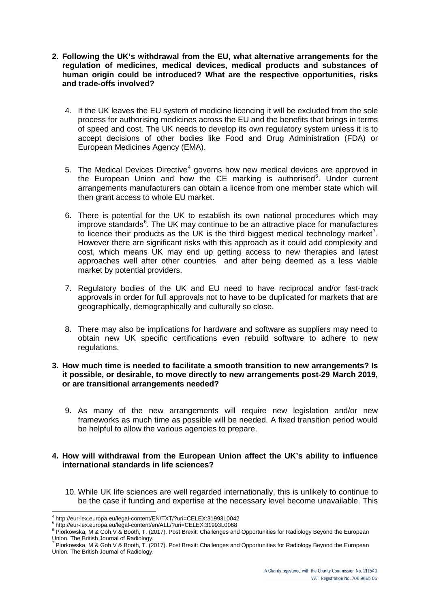- **2. Following the UK's withdrawal from the EU, what alternative arrangements for the regulation of medicines, medical devices, medical products and substances of human origin could be introduced? What are the respective opportunities, risks and trade-offs involved?** 
	- 4. If the UK leaves the EU system of medicine licencing it will be excluded from the sole process for authorising medicines across the EU and the benefits that brings in terms of speed and cost. The UK needs to develop its own regulatory system unless it is to accept decisions of other bodies like Food and Drug Administration (FDA) or European Medicines Agency (EMA).
	- 5. The Medical Devices Directive<sup>[4](#page-1-0)</sup> governs how new medical devices are approved in the European Union and how the CE marking is authorised<sup>[5](#page-1-1)</sup>. Under current arrangements manufacturers can obtain a licence from one member state which will then grant access to whole EU market.
	- 6. There is potential for the UK to establish its own national procedures which may improve standards<sup>[6](#page-1-2)</sup>. The UK may continue to be an attractive place for manufactures to licence their products as the UK is the third biggest medical technology market<sup>[7](#page-1-3)</sup>. However there are significant risks with this approach as it could add complexity and cost, which means UK may end up getting access to new therapies and latest approaches well after other countries and after being deemed as a less viable market by potential providers.
	- 7. Regulatory bodies of the UK and EU need to have reciprocal and/or fast-track approvals in order for full approvals not to have to be duplicated for markets that are geographically, demographically and culturally so close.
	- 8. There may also be implications for hardware and software as suppliers may need to obtain new UK specific certifications even rebuild software to adhere to new regulations.

## **3. How much time is needed to facilitate a smooth transition to new arrangements? Is it possible, or desirable, to move directly to new arrangements post-29 March 2019, or are transitional arrangements needed?**

9. As many of the new arrangements will require new legislation and/or new frameworks as much time as possible will be needed. A fixed transition period would be helpful to allow the various agencies to prepare.

## **4. How will withdrawal from the European Union affect the UK's ability to influence international standards in life sciences?**

10. While UK life sciences are well regarded internationally, this is unlikely to continue to be the case if funding and expertise at the necessary level become unavailable. This

<sup>4</sup> http://eur-lex.europa.eu/legal-content/EN/TXT/?uri=CELEX:31993L0042

<span id="page-1-1"></span><span id="page-1-0"></span>http://eur-lex.europa.eu/legal-content/en/ALL/?uri=CELEX:31993L0068<br>
Fintp://eur-lex.europa.eu/legal-content/en/ALL/?uri=CELEX:31993L0068<br>
Fiorkowska, M & Goh, V & Booth, T. (2017). Post Brexit: Challenges and Opportunitie

<span id="page-1-3"></span><span id="page-1-2"></span>Union. The British Journal of Radiology.<br><sup>7</sup> Piorkowska, M & Goh,V & Booth, T. (2017). Post Brexit: Challenges and Opportunities for Radiology Beyond the European Union. The British Journal of Radiology.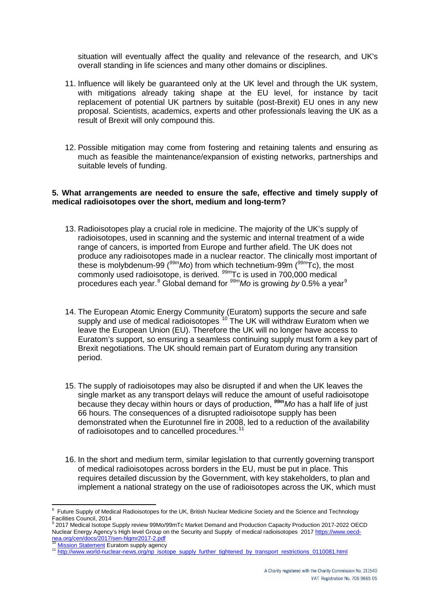situation will eventually affect the quality and relevance of the research, and UK's overall standing in life sciences and many other domains or disciplines.

- 11. Influence will likely be guaranteed only at the UK level and through the UK system, with mitigations already taking shape at the EU level, for instance by tacit replacement of potential UK partners by suitable (post-Brexit) EU ones in any new proposal. Scientists, academics, experts and other professionals leaving the UK as a result of Brexit will only compound this.
- 12. Possible mitigation may come from fostering and retaining talents and ensuring as much as feasible the maintenance/expansion of existing networks, partnerships and suitable levels of funding.

## **5. What arrangements are needed to ensure the safe, effective and timely supply of medical radioisotopes over the short, medium and long-term?**

- 13. Radioisotopes play a crucial role in medicine. The majority of the UK's supply of radioisotopes, used in scanning and the systemic and internal treatment of a wide range of cancers, is imported from Europe and further afield. The UK does not produce any radioisotopes made in a nuclear reactor. The clinically most important of these is molybdenum-99 (*99mMo*) from which technetium-99m ( *99m*Tc), the most commonly used radioisotope, is derived. *99m*Tc is used in 700,000 medical procedures each year.[8](#page-2-0) Global demand for *99mMo* is growing *by* 0.5% a year[9](#page-2-1)
- 14. The European Atomic Energy Community (Euratom) supports the secure and safe supply and use of medical radioisotopes <sup>[10](#page-2-2)</sup> The UK will withdraw Euratom when we leave the European Union (EU). Therefore the UK will no longer have access to Euratom's support, so ensuring a seamless continuing supply must form a key part of Brexit negotiations. The UK should remain part of Euratom during any transition period.
- 15. The supply of radioisotopes may also be disrupted if and when the UK leaves the single market as any transport delays will reduce the amount of useful radioisotope because they decay within hours or days of production, *99mMo* has a half life of just 66 hours. The consequences of a disrupted radioisotope supply has been demonstrated when the Eurotunnel fire in 2008, led to a reduction of the availability of radioisotopes and to cancelled procedures.<sup>[11](#page-2-3)</sup>
- 16. In the short and medium term, similar legislation to that currently governing transport of medical radioisotopes across borders in the EU, must be put in place. This requires detailed discussion by the Government, with key stakeholders, to plan and implement a national strategy on the use of radioisotopes across the UK, which must

**<sup>.</sup>** 8 Future Supply of Medical Radioisotopes for the UK, British Nuclear Medicine Society and the Science and Technology Facilities Council, 2014

<span id="page-2-1"></span><span id="page-2-0"></span><sup>9</sup> 2017 Medical Isotope Supply review 99Mo/99mTc Market Demand and Production Capacity Production 2017-2022 OECD Nuclear Energy Agency's High level Group on the Security and Supply of medical radioisotopes 2017 https://www.oecd-<br>nea.org/cen/docs/2017/sen-higmr2017-2.pdf<br><sup>10</sup> Miscion Statement Europe supply a supply a statement of the

<span id="page-2-3"></span><span id="page-2-2"></span><sup>&</sup>lt;sup>10</sup> Mission Statement [E](http://ec.europa.eu/euratom/mission.html)uratom supply agency<br><sup>11</sup> [http://www.world-nuclear-news.org/np\\_isotope\\_supply\\_further\\_tightened\\_by\\_transport\\_restrictions\\_0110081.html](http://www.world-nuclear-news.org/np_isotope_supply_further_tightened_by_transport_restrictions_0110081.html)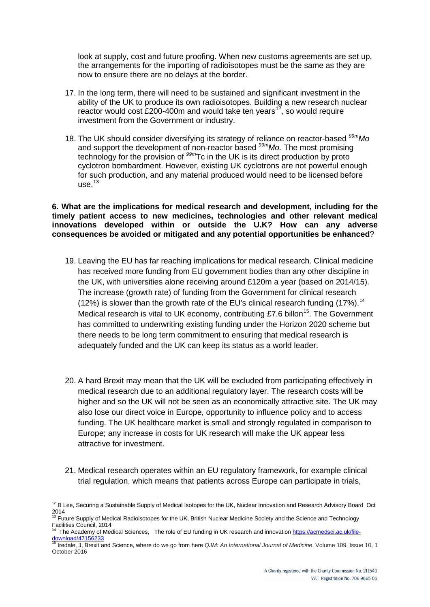look at supply, cost and future proofing. When new customs agreements are set up, the arrangements for the importing of radioisotopes must be the same as they are now to ensure there are no delays at the border.

- 17. In the long term, there will need to be sustained and significant investment in the ability of the UK to produce its own radioisotopes. Building a new research nuclear reactor would cost £200-400m and would take ten years<sup>12</sup>, so would require investment from the Government or industry.
- 18. The UK should consider diversifying its strategy of reliance on reactor-based *99mMo* and support the development of non-reactor based *99mMo.* The most promising technology for the provision of *99m*Tc in the UK is its direct production by proto cyclotron bombardment. However, existing UK cyclotrons are not powerful enough for such production, and any material produced would need to be licensed before  $\overline{u}$ se.  $13$

**6. What are the implications for medical research and development, including for the timely patient access to new medicines, technologies and other relevant medical innovations developed within or outside the U.K? How can any adverse consequences be avoided or mitigated and any potential opportunities be enhanced**?

- 19. Leaving the EU has far reaching implications for medical research. Clinical medicine has received more funding from EU government bodies than any other discipline in the UK, with universities alone receiving around £120m a year (based on 2014/15). The increase (growth rate) of funding from the Government for clinical research (12%) is slower than the growth rate of the EU's clinical research funding (17%).<sup>[14](#page-3-2)</sup> Medical research is vital to UK economy, contributing £7.6 billon<sup>[15](#page-3-3)</sup>. The Government has committed to underwriting existing funding under the Horizon 2020 scheme but there needs to be long term commitment to ensuring that medical research is adequately funded and the UK can keep its status as a world leader.
- 20. A hard Brexit may mean that the UK will be excluded from participating effectively in medical research due to an additional regulatory layer. The research costs will be higher and so the UK will not be seen as an economically attractive site. The UK may also lose our direct voice in Europe, opportunity to influence policy and to access funding. The UK healthcare market is small and strongly regulated in comparison to Europe; any increase in costs for UK research will make the UK appear less attractive for investment.
- 21. Medical research operates within an EU regulatory framework, for example clinical trial regulation, which means that patients across Europe can participate in trials,

**.** 

<span id="page-3-0"></span> $12$  B Lee, Securing a Sustainable Supply of Medical Isotopes for the UK, Nuclear Innovation and Research Advisory Board Oct 2014<br><sup>13</sup> Future Supply of Medical Radioisotopes for the UK, British Nuclear Medicine Society and the Science and Technology

<span id="page-3-1"></span>Facilities Council, 2014

The Academy of Medical Sciences, The role of EU funding in UK research and innovatio[n https://acmedsci.ac.uk/file-](https://acmedsci.ac.uk/file-download/47156233)

<span id="page-3-3"></span><span id="page-3-2"></span>[download/47156233](https://acmedsci.ac.uk/file-download/47156233) <sup>15</sup> Iredale, J, Brexit and Science, where do we go from here *QJM: An International Journal of Medicine*, Volume 109, Issue 10, 1 October 2016